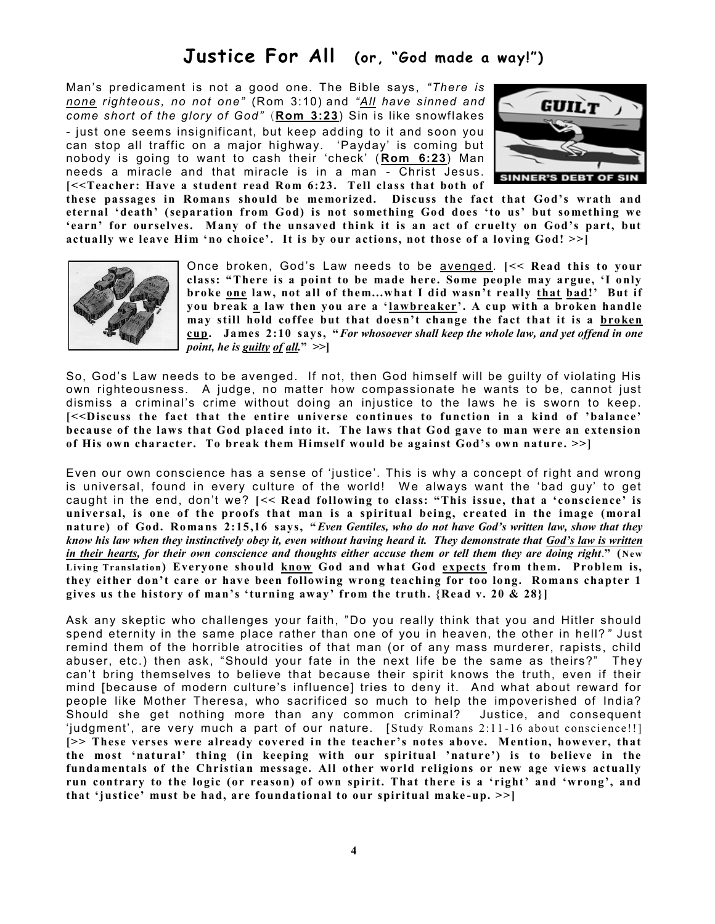## **Justice For All (or, "God made a way!")**

Man's predicament is not a good one. The Bible says, *"There is none righteous, no not one"* (Rom 3:10) and *"All have sinned and come short of the glory of God"* (**Rom 3:23**) Sin is like snowflakes - just one seems insignificant, but keep adding to it and soon you can stop all traffic on a major highway. 'Payday' is coming but nobody is going to want to cash their 'check' ( **Rom 6:23**) Man needs a miracle and that miracle is in a man - Christ Jesus. **[<<Teacher: Have a student read Rom 6:23. Tell class that both of** 



**these passages in Romans should be memorized. Discuss the fact that God's wrath and eternal 'death' (separation from God) is not so mething God does 'to us' but so mething we 'earn' for ourselves. Many of the unsaved think it is an act of cruelty on God's part, but actually we leave Him 'no choice'. It is by our actions, not those of a loving God! >>]**



Once broken, God's Law needs to be avenged. **[<< Read this to your class: "There is a point to be made here. Some people may argue, 'I only broke one law, not all of them...what I did wasn't really that bad!' But if you break a law then you are a 'lawbreaker'. A cup with a broken handle may still hold coffee but that doesn't change the fact that it is a broken cup. Ja mes 2:10 says, "***For whosoever shall keep the whole law, and yet offend in one point, he is guilty of all.***" >>]**

So, God's Law needs to be avenged. If not, then God himself will be guilty of violating His own righteousness. A judge, no matter how compassionate he wants to be, cannot just dismiss a criminal's crime without doing an injustice to the laws he is sworn to keep. **[<<Discuss the fact that the entire universe continues to function in a kind of 'balance' because of the laws that God placed into it. The laws that God gave to man were an extension of His own character. To break them Himself would be against God's own nature. >>]**

Even our own conscience has a sense of 'justice'. This is why a concept of right and wrong is universal, found in every culture of the world! We always want the 'bad guy' to get caught in the end, don't we? **[<< Read following to class: "This issue, that a 'conscience' is universal, is one of the proofs that man is a spiritual being, created in the image (moral nature) of God. Ro mans 2:15,16 says, "***Even Gentiles, who do not have God's written law, show that they know his law when they instinctively obey it, even without having heard it. They demonstrate that God's law is written in their hearts, for their own conscience and thoughts either accuse them or tell them they are doing right*.**" (New**  Living Translation) Everyone should know God and what God expects from them. Problem is, they either don't care or have been following wrong teaching for too long. Romans chapter 1 **gives us the history of man's 'turning away' from the truth. {Read v. 20 & 28}]** 

Ask any skeptic who challenges your faith, "Do you really think that you and Hitler should spend eternity in the same place rather than one of you in heaven, the other in hell? *"* Just remind them of the horrible atrocities of that man (or of any mass murderer, rapists, child abuser, etc.) then ask, "Should your fate in the next life be the same as theirs?" They can't bring themselves to believe that because their spirit knows the truth, even if their mind [because of modern culture's influence] tries to deny it. And what about reward for people like Mother Theresa, who sacrificed so much to help the impoverished of India? Should she get nothing more than any common criminal? Justice, and consequent 'judgment', are very much a part of our nature. [ Study Romans 2:11 -16 about conscience!!] **[>> These verses were already covered in the teacher's notes above. Mention, however, that the most 'natural' thing (in keeping with our spiritual 'nature') is to believe in the funda mentals of the Christian message. All other world religions or new age views actually run contrary to the logic (or reason) of own spirit. That there is a 'right' and 'wrong', and that 'justice' must be had, are foundational to our spiritual make -up. >>]**